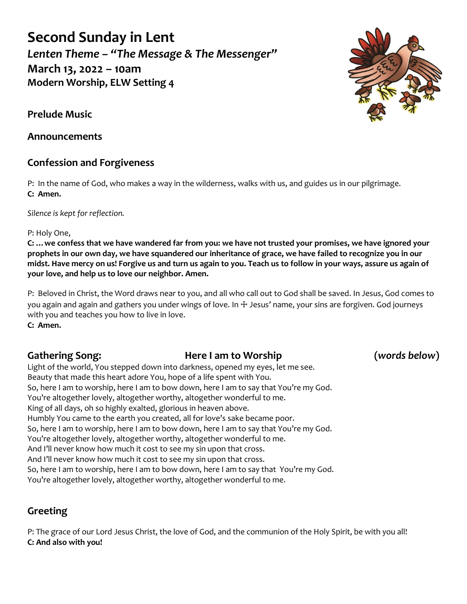**Second Sunday in Lent** *Lenten Theme – "The Message & The Messenger"* **March 13, 2022 – 10am Modern Worship, ELW Setting 4**

**Prelude Music**

**Announcements**

## **Confession and Forgiveness**

P: In the name of God, who makes a way in the wilderness, walks with us, and guides us in our pilgrimage. **C: Amen.**

*Silence is kept for reflection.*

P: Holy One,

**C: …we confess that we have wandered far from you: we have not trusted your promises, we have ignored your prophets in our own day, we have squandered our inheritance of grace, we have failed to recognize you in our midst. Have mercy on us! Forgive us and turn us again to you. Teach us to follow in your ways, assure us again of your love, and help us to love our neighbor. Amen.**

P: Beloved in Christ, the Word draws near to you, and all who call out to God shall be saved. In Jesus, God comes to you again and again and gathers you under wings of love. In ☩ Jesus' name, your sins are forgiven. God journeys with you and teaches you how to live in love. **C: Amen.**

## **Gathering Song: Here I am to Worship (***words below***)**

Light of the world, You stepped down into darkness, opened my eyes, let me see. Beauty that made this heart adore You, hope of a life spent with You. So, here I am to worship, here I am to bow down, here I am to say that You're my God. You're altogether lovely, altogether worthy, altogether wonderful to me. King of all days, oh so highly exalted, glorious in heaven above. Humbly You came to the earth you created, all for love's sake became poor. So, here I am to worship, here I am to bow down, here I am to say that You're my God. You're altogether lovely, altogether worthy, altogether wonderful to me. And I'll never know how much it cost to see my sin upon that cross. And I'll never know how much it cost to see my sin upon that cross. So, here I am to worship, here I am to bow down, here I am to say that You're my God. You're altogether lovely, altogether worthy, altogether wonderful to me.

## **Greeting**

P: The grace of our Lord Jesus Christ, the love of God, and the communion of the Holy Spirit, be with you all! **C: And also with you!**

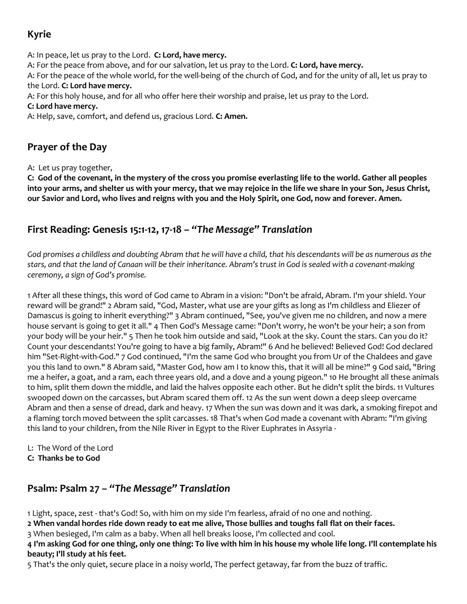## **Kyrie**

A: In peace, let us pray to the Lord. **C: Lord, have mercy.**

A: For the peace from above, and for our salvation, let us pray to the Lord. **C: Lord, have mercy.**

A: For the peace of the whole world, for the well-being of the church of God, and for the unity of all, let us pray to the Lord. **C: Lord have mercy.**

A: For this holy house, and for all who offer here their worship and praise, let us pray to the Lord.

### **C: Lord have mercy.**

A: Help, save, comfort, and defend us, gracious Lord. **C: Amen.**

## **Prayer of the Day**

A: Let us pray together,

**C: God of the covenant, in the mystery of the cross you promise everlasting life to the world. Gather all peoples into your arms, and shelter us with your mercy, that we may rejoice in the life we share in your Son, Jesus Christ, our Savior and Lord, who lives and reigns with you and the Holy Spirit, one God, now and forever. Amen.**

## **First Reading: Genesis 15:1-12, 17-18 –** *"The Message" Translation*

*God promises a childless and doubting Abram that he will have a child, that his descendants will be as numerous as the stars, and that the land of Canaan will be their inheritance. Abram's trust in God is sealed with a covenant-making ceremony, a sign of God's promise.*

1 After all these things, this word of God came to Abram in a vision: "Don't be afraid, Abram. I'm your shield. Your reward will be grand!" 2 Abram said, "God, Master, what use are your gifts as long as I'm childless and Eliezer of Damascus is going to inherit everything?" 3 Abram continued, "See, you've given me no children, and now a mere house servant is going to get it all." 4 Then God's Message came: "Don't worry, he won't be your heir; a son from your body will be your heir." 5 Then he took him outside and said, "Look at the sky. Count the stars. Can you do it? Count your descendants! You're going to have a big family, Abram!" 6 And he believed! Believed God! God declared him "Set-Right-with-God." 7 God continued, "I'm the same God who brought you from Ur of the Chaldees and gave you this land to own." 8 Abram said, "Master God, how am I to know this, that it will all be mine?" 9 God said, "Bring me a heifer, a goat, and a ram, each three years old, and a dove and a young pigeon." 10 He brought all these animals to him, split them down the middle, and laid the halves opposite each other. But he didn't split the birds. 11 Vultures swooped down on the carcasses, but Abram scared them off. 12 As the sun went down a deep sleep overcame Abram and then a sense of dread, dark and heavy. 17 When the sun was down and it was dark, a smoking firepot and a flaming torch moved between the split carcasses. 18 That's when God made a covenant with Abram: "I'm giving this land to your children, from the Nile River in Egypt to the River Euphrates in Assyria -

### L: The Word of the Lord

**C: Thanks be to God**

## **Psalm: Psalm 27 –** *"The Message" Translation*

1 Light, space, zest - that's God! So, with him on my side I'm fearless, afraid of no one and nothing.

**2 When vandal hordes ride down ready to eat me alive, Those bullies and toughs fall flat on their faces.** 

3 When besieged, I'm calm as a baby. When all hell breaks loose, I'm collected and cool.

### **4 I'm asking God for one thing, only one thing: To live with him in his house my whole life long. I'll contemplate his beauty; I'll study at his feet.**

5 That's the only quiet, secure place in a noisy world, The perfect getaway, far from the buzz of traffic.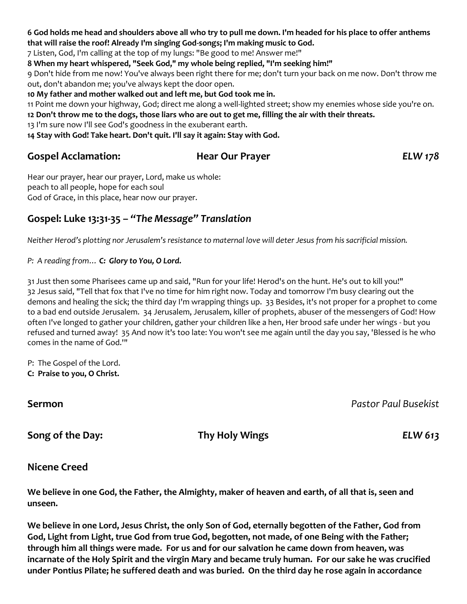**6 God holds me head and shoulders above all who try to pull me down. I'm headed for his place to offer anthems that will raise the roof! Already I'm singing God-songs; I'm making music to God.** 

7 Listen, God, I'm calling at the top of my lungs: "Be good to me! Answer me!"

**8 When my heart whispered, "Seek God," my whole being replied, "I'm seeking him!"** 

9 Don't hide from me now! You've always been right there for me; don't turn your back on me now. Don't throw me out, don't abandon me; you've always kept the door open.

**10 My father and mother walked out and left me, but God took me in.** 

11 Point me down your highway, God; direct me along a well-lighted street; show my enemies whose side you're on.

**12 Don't throw me to the dogs, those liars who are out to get me, filling the air with their threats.** 

13 I'm sure now I'll see God's goodness in the exuberant earth.

**14 Stay with God! Take heart. Don't quit. I'll say it again: Stay with God.** 

## **Gospel Acclamation: Hear Our Prayer** *ELW 178*

Hear our prayer, hear our prayer, Lord, make us whole: peach to all people, hope for each soul God of Grace, in this place, hear now our prayer.

## **Gospel: Luke 13:31-35 –** *"The Message" Translation*

*Neither Herod's plotting nor Jerusalem's resistance to maternal love will deter Jesus from his sacrificial mission.*

*P: A reading from… C: Glory to You, O Lord.*

31 Just then some Pharisees came up and said, "Run for your life! Herod's on the hunt. He's out to kill you!" 32 Jesus said, "Tell that fox that I've no time for him right now. Today and tomorrow I'm busy clearing out the demons and healing the sick; the third day I'm wrapping things up. 33 Besides, it's not proper for a prophet to come to a bad end outside Jerusalem. 34 Jerusalem, Jerusalem, killer of prophets, abuser of the messengers of God! How often I've longed to gather your children, gather your children like a hen, Her brood safe under her wings - but you refused and turned away! 35 And now it's too late: You won't see me again until the day you say, 'Blessed is he who comes in the name of God.'"

P: The Gospel of the Lord. **C: Praise to you, O Christ.**

**Sermon** *Pastor Paul Busekist*

**Song of the Day: Thy Holy Wings** *ELW 613*

### **Nicene Creed**

**We believe in one God, the Father, the Almighty, maker of heaven and earth, of all that is, seen and unseen.**

**We believe in one Lord, Jesus Christ, the only Son of God, eternally begotten of the Father, God from God, Light from Light, true God from true God, begotten, not made, of one Being with the Father; through him all things were made. For us and for our salvation he came down from heaven, was incarnate of the Holy Spirit and the virgin Mary and became truly human. For our sake he was crucified under Pontius Pilate; he suffered death and was buried. On the third day he rose again in accordance**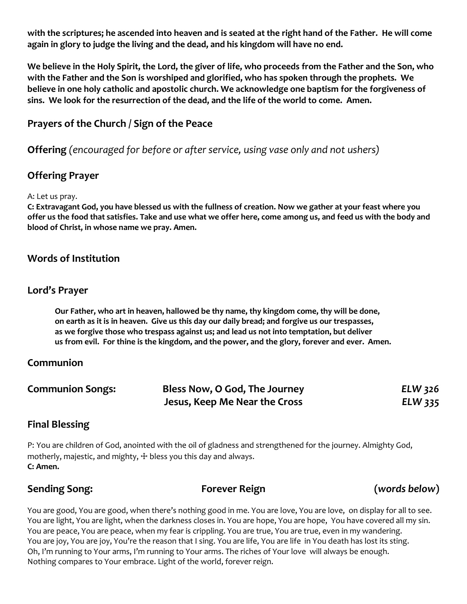**with the scriptures; he ascended into heaven and is seated at the right hand of the Father. He will come again in glory to judge the living and the dead, and his kingdom will have no end.**

**We believe in the Holy Spirit, the Lord, the giver of life, who proceeds from the Father and the Son, who with the Father and the Son is worshiped and glorified, who has spoken through the prophets. We believe in one holy catholic and apostolic church. We acknowledge one baptism for the forgiveness of sins. We look for the resurrection of the dead, and the life of the world to come. Amen.**

## **Prayers of the Church / Sign of the Peace**

**Offering** *(encouraged for before or after service, using vase only and not ushers)*

## **Offering Prayer**

### A: Let us pray.

**C: Extravagant God, you have blessed us with the fullness of creation. Now we gather at your feast where you offer us the food that satisfies. Take and use what we offer here, come among us, and feed us with the body and blood of Christ, in whose name we pray. Amen.**

## **Words of Institution**

### **Lord's Prayer**

**Our Father, who art in heaven, hallowed be thy name, thy kingdom come, thy will be done, on earth as it is in heaven. Give us this day our daily bread; and forgive us our trespasses, as we forgive those who trespass against us; and lead us not into temptation, but deliver us from evil. For thine is the kingdom, and the power, and the glory, forever and ever. Amen.**

## **Communion**

| <b>Communion Songs:</b> | Bless Now, O God, The Journey | <b>ELW 326</b> |
|-------------------------|-------------------------------|----------------|
|                         | Jesus, Keep Me Near the Cross | <b>ELW 335</b> |

## **Final Blessing**

P: You are children of God, anointed with the oil of gladness and strengthened for the journey. Almighty God, motherly, majestic, and mighty,  $+$  bless you this day and always. **C: Amen.**

## **Sending Song: Forever Reign (***words below***)**

You are good, You are good, when there's nothing good in me. You are love, You are love, on display for all to see. You are light, You are light, when the darkness closes in. You are hope, You are hope, You have covered all my sin. You are peace, You are peace, when my fear is crippling. You are true, You are true, even in my wandering. You are joy, You are joy, You're the reason that I sing. You are life, You are life in You death has lost its sting. Oh, I'm running to Your arms, I'm running to Your arms. The riches of Your love will always be enough. Nothing compares to Your embrace. Light of the world, forever reign.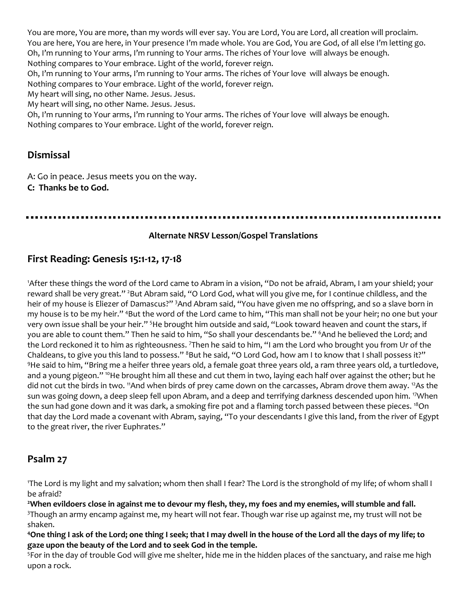You are more, You are more, than my words will ever say. You are Lord, You are Lord, all creation will proclaim. You are here, You are here, in Your presence I'm made whole. You are God, You are God, of all else I'm letting go. Oh, I'm running to Your arms, I'm running to Your arms. The riches of Your love will always be enough. Nothing compares to Your embrace. Light of the world, forever reign.

Oh, I'm running to Your arms, I'm running to Your arms. The riches of Your love will always be enough. Nothing compares to Your embrace. Light of the world, forever reign.

My heart will sing, no other Name. Jesus. Jesus.

My heart will sing, no other Name. Jesus. Jesus.

Oh, I'm running to Your arms, I'm running to Your arms. The riches of Your love will always be enough. Nothing compares to Your embrace. Light of the world, forever reign.

## **Dismissal**

A: Go in peace. Jesus meets you on the way.

**C: Thanks be to God.**

### **Alternate NRSV Lesson/Gospel Translations**

## **First Reading: Genesis 15:1-12, 17-18**

<sup>1</sup>After these things the word of the Lord came to Abram in a vision, "Do not be afraid, Abram, I am your shield; your reward shall be very great." <sup>2</sup>But Abram said, "O Lord God, what will you give me, for I continue childless, and the heir of my house is Eliezer of Damascus?" <sup>3</sup>And Abram said, "You have given me no offspring, and so a slave born in my house is to be my heir." <sup>4</sup>But the word of the Lord came to him, "This man shall not be your heir; no one but your very own issue shall be your heir." <sup>5</sup>He brought him outside and said, "Look toward heaven and count the stars, if you are able to count them." Then he said to him, "So shall your descendants be." <sup>6</sup>And he believed the Lord; and the Lord reckoned it to him as righteousness. <sup>7</sup>Then he said to him, "I am the Lord who brought you from Ur of the Chaldeans, to give you this land to possess." <sup>8</sup>But he said, "O Lord God, how am I to know that I shall possess it?" <sup>9</sup>He said to him, "Bring me a heifer three years old, a female goat three years old, a ram three years old, a turtledove, and a young pigeon." <sup>10</sup>He brought him all these and cut them in two, laying each half over against the other; but he did not cut the birds in two. "And when birds of prey came down on the carcasses, Abram drove them away. "As the sun was going down, a deep sleep fell upon Abram, and a deep and terrifying darkness descended upon him. <sup>17</sup>When the sun had gone down and it was dark, a smoking fire pot and a flaming torch passed between these pieces. <sup>18</sup>On that day the Lord made a covenant with Abram, saying, "To your descendants I give this land, from the river of Egypt to the great river, the river Euphrates."

## **Psalm 27**

<sup>1</sup>The Lord is my light and my salvation; whom then shall I fear? The Lord is the stronghold of my life; of whom shall I be afraid?

**<sup>2</sup>When evildoers close in against me to devour my flesh, they, my foes and my enemies, will stumble and fall.** <sup>3</sup>Though an army encamp against me, my heart will not fear. Though war rise up against me, my trust will not be shaken.

**<sup>4</sup>One thing I ask of the Lord; one thing I seek; that I may dwell in the house of the Lord all the days of my life; to gaze upon the beauty of the Lord and to seek God in the temple.**

<sup>5</sup>For in the day of trouble God will give me shelter, hide me in the hidden places of the sanctuary, and raise me high upon a rock.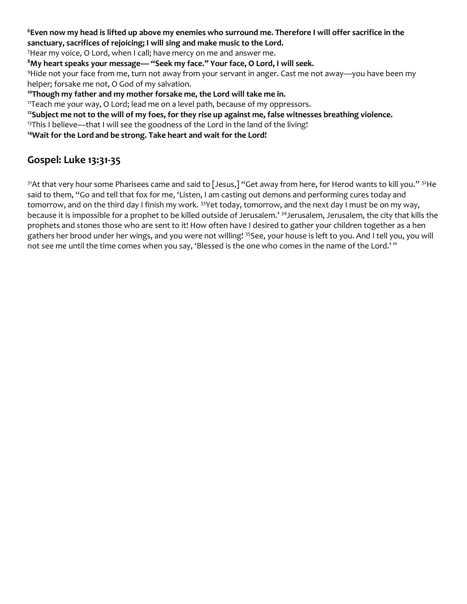### **<sup>6</sup>Even now my head is lifted up above my enemies who surround me. Therefore I will offer sacrifice in the sanctuary, sacrifices of rejoicing; I will sing and make music to the Lord.**

<sup>7</sup> Hear my voice, O Lord, when I call; have mercy on me and answer me.

**<sup>8</sup>My heart speaks your message— "Seek my face." Your face, O Lord, I will seek.**

<sup>9</sup>Hide not your face from me, turn not away from your servant in anger. Cast me not away—you have been my helper; forsake me not, O God of my salvation.

**<sup>10</sup>Though my father and my mother forsake me, the Lord will take me in.**

<sup>11</sup>Teach me your way, O Lord; lead me on a level path, because of my oppressors.

**<sup>12</sup>Subject me not to the will of my foes, for they rise up against me, false witnesses breathing violence.**

<sup>13</sup>This I believe—that I will see the goodness of the Lord in the land of the living!

**<sup>14</sup>Wait for the Lord and be strong. Take heart and wait for the Lord!**

## **Gospel: Luke 13:31-35**

31 At that very hour some Pharisees came and said to [Jesus,] "Get away from here, for Herod wants to kill you." <sup>32</sup>He said to them, "Go and tell that fox for me, 'Listen, I am casting out demons and performing cures today and tomorrow, and on the third day I finish my work. <sup>33</sup>Yet today, tomorrow, and the next day I must be on my way, because it is impossible for a prophet to be killed outside of Jerusalem.' <sup>34</sup>Jerusalem, Jerusalem, the city that kills the prophets and stones those who are sent to it! How often have I desired to gather your children together as a hen gathers her brood under her wings, and you were not willing! <sup>35</sup>See, your house is left to you. And I tell you, you will not see me until the time comes when you say, 'Blessed is the one who comes in the name of the Lord.' "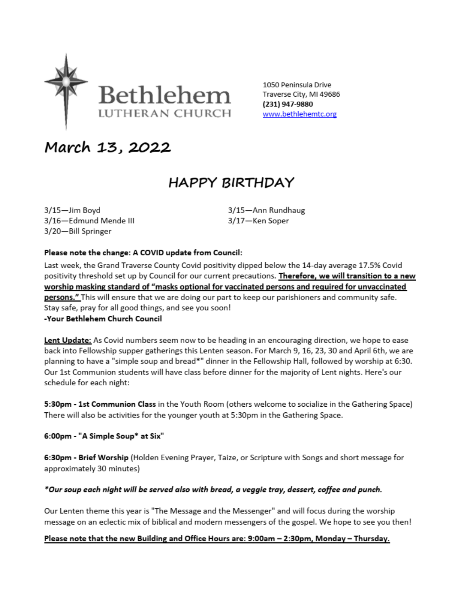

# March 13, 2022

# **HAPPY BIRTHDAY**

3/15-Jim Boyd 3/16-Edmund Mende III 3/20-Bill Springer

3/15-Ann Rundhaug 3/17-Ken Soper

### Please note the change: A COVID update from Council:

Last week, the Grand Traverse County Covid positivity dipped below the 14-day average 17.5% Covid positivity threshold set up by Council for our current precautions. Therefore, we will transition to a new worship masking standard of "masks optional for vaccinated persons and required for unvaccinated persons." This will ensure that we are doing our part to keep our parishioners and community safe. Stay safe, pray for all good things, and see you soon!

-Your Bethlehem Church Council

Lent Update: As Covid numbers seem now to be heading in an encouraging direction, we hope to ease back into Fellowship supper gatherings this Lenten season. For March 9, 16, 23, 30 and April 6th, we are planning to have a "simple soup and bread\*" dinner in the Fellowship Hall, followed by worship at 6:30. Our 1st Communion students will have class before dinner for the majority of Lent nights. Here's our schedule for each night:

5:30pm - 1st Communion Class in the Youth Room (others welcome to socialize in the Gathering Space) There will also be activities for the younger youth at 5:30pm in the Gathering Space.

### 6:00pm - "A Simple Soup\* at Six"

6:30pm - Brief Worship (Holden Evening Prayer, Taize, or Scripture with Songs and short message for approximately 30 minutes)

### Our soup each night will be served also with bread, a veggie tray, dessert, coffee and punch. \*

Our Lenten theme this year is "The Message and the Messenger" and will focus during the worship message on an eclectic mix of biblical and modern messengers of the gospel. We hope to see you then!

### Please note that the new Building and Office Hours are: 9:00am - 2:30pm, Monday - Thursday.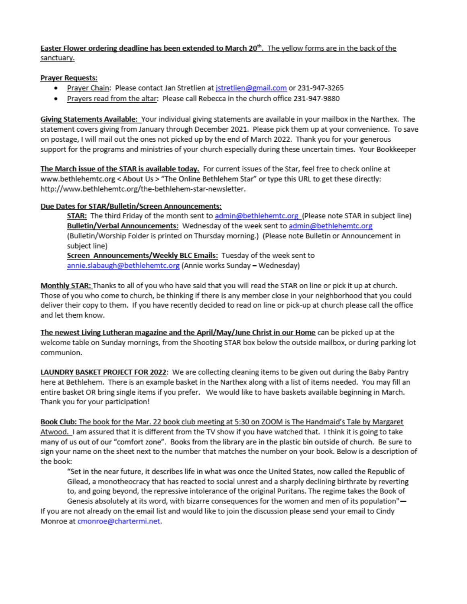Easter Flower ordering deadline has been extended to March 20<sup>th</sup>. The yellow forms are in the back of the sanctuary.

### **Prayer Requests:**

- Prayer Chain: Please contact Jan Stretlien at jstretlien@gmail.com or 231-947-3265
- Prayers read from the altar: Please call Rebecca in the church office 231-947-9880  $\bullet$

Giving Statements Available: Your individual giving statements are available in your mailbox in the Narthex. The statement covers giving from January through December 2021. Please pick them up at your convenience. To save on postage, I will mail out the ones not picked up by the end of March 2022. Thank you for your generous support for the programs and ministries of your church especially during these uncertain times. Your Bookkeeper

The March issue of the STAR is available today. For current issues of the Star, feel free to check online at www.bethlehemtc.org < About Us > "The Online Bethlehem Star" or type this URL to get these directly: http://www.bethlehemtc.org/the-bethlehem-star-newsletter.

### Due Dates for STAR/Bulletin/Screen Announcements:

STAR: The third Friday of the month sent to admin@bethlehemtc.org (Please note STAR in subject line) Bulletin/Verbal Announcements: Wednesday of the week sent to admin@bethlehemtc.org (Bulletin/Worship Folder is printed on Thursday morning.) (Please note Bulletin or Announcement in subject line)

Screen Announcements/Weekly BLC Emails: Tuesday of the week sent to annie.slabaugh@bethlehemtc.org (Annie works Sunday - Wednesday)

Monthly STAR: Thanks to all of you who have said that you will read the STAR on line or pick it up at church. Those of you who come to church, be thinking if there is any member close in your neighborhood that you could deliver their copy to them. If you have recently decided to read on line or pick-up at church please call the office and let them know.

The newest Living Lutheran magazine and the April/May/June Christ in our Home can be picked up at the welcome table on Sunday mornings, from the Shooting STAR box below the outside mailbox, or during parking lot communion.

LAUNDRY BASKET PROJECT FOR 2022: We are collecting cleaning items to be given out during the Baby Pantry here at Bethlehem. There is an example basket in the Narthex along with a list of items needed. You may fill an entire basket OR bring single items if you prefer. We would like to have baskets available beginning in March. Thank you for your participation!

Book Club: The book for the Mar. 22 book club meeting at 5:30 on ZOOM is The Handmaid's Tale by Margaret Atwood. I am assured that it is different from the TV show if you have watched that. I think it is going to take many of us out of our "comfort zone". Books from the library are in the plastic bin outside of church. Be sure to sign your name on the sheet next to the number that matches the number on your book. Below is a description of the book:

"Set in the near future, it describes life in what was once the United States, now called the Republic of Gilead, a monotheocracy that has reacted to social unrest and a sharply declining birthrate by reverting to, and going beyond, the repressive intolerance of the original Puritans. The regime takes the Book of Genesis absolutely at its word, with bizarre consequences for the women and men of its population"-

If you are not already on the email list and would like to join the discussion please send your email to Cindy Monroe at cmonroe@chartermi.net.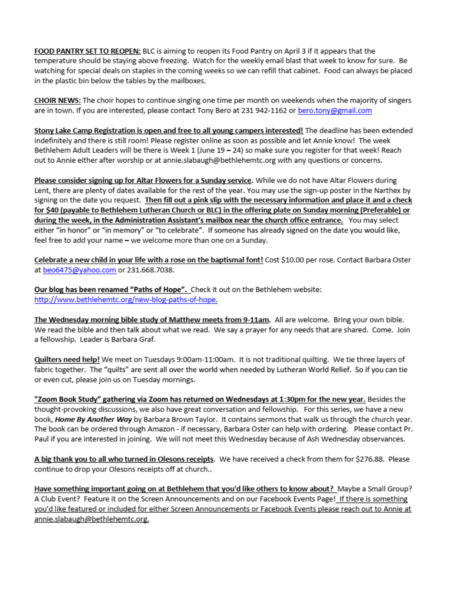FOOD PANTRY SET TO REOPEN: BLC is aiming to reopen its Food Pantry on April 3 if it appears that the temperature should be staying above freezing. Watch for the weekly email blast that week to know for sure. Be watching for special deals on staples in the coming weeks so we can refill that cabinet. Food can always be placed in the plastic bin below the tables by the mailboxes.

CHOIR NEWS: The choir hopes to continue singing one time per month on weekends when the majority of singers are in town. If you are interested, please contact Tony Bero at 231 942-1162 or bero.tony@gmail.com

Stony Lake Camp Registration is open and free to all young campers interested! The deadline has been extended indefinitely and there is still room! Please register online as soon as possible and let Annie know! The week Bethlehem Adult Leaders will be there is Week 1 (June 19 - 24) so make sure you register for that week! Reach out to Annie either after worship or at annie.slabaugh@bethlehemtc.org with any questions or concerns.

Please consider signing up for Altar Flowers for a Sunday service. While we do not have Altar Flowers during Lent, there are plenty of dates available for the rest of the year. You may use the sign-up poster in the Narthex by signing on the date you request. Then fill out a pink slip with the necessary information and place it and a check for \$40 (payable to Bethlehem Lutheran Church or BLC) in the offering plate on Sunday morning (Preferable) or during the week, in the Administration Assistant's mailbox near the church office entrance. You may select either "in honor" or "in memory" or "to celebrate". If someone has already signed on the date you would like, feel free to add your name - we welcome more than one on a Sunday.

Celebrate a new child in your life with a rose on the baptismal font! Cost \$10.00 per rose. Contact Barbara Oster at beo6475@yahoo.com or 231.668.7038.

Our blog has been renamed "Paths of Hope". Check it out on the Bethlehem website: http://www.bethlehemtc.org/new-blog-paths-of-hope.

The Wednesday morning bible study of Matthew meets from 9-11am. All are welcome. Bring your own bible. We read the bible and then talk about what we read. We say a prayer for any needs that are shared. Come. Join a fellowship. Leader is Barbara Graf.

Quilters need help! We meet on Tuesdays 9:00am-11:00am. It is not traditional quilting. We tie three layers of fabric together. The "quilts" are sent all over the world when needed by Lutheran World Relief. So if you can tie or even cut, please join us on Tuesday mornings.

"Zoom Book Study" gathering via Zoom has returned on Wednesdays at 1:30pm for the new year. Besides the thought-provoking discussions, we also have great conversation and fellowship. For this series, we have a new book, Home By Another Way by Barbara Brown Taylor. It contains sermons that walk us through the church year. The book can be ordered through Amazon - if necessary, Barbara Oster can help with ordering. Please contact Pr. Paul if you are interested in joining. We will not meet this Wednesday because of Ash Wednesday observances.

A big thank you to all who turned in Olesons receipts. We have received a check from them for \$276.88. Please continue to drop your Olesons receipts off at church..

Have something important going on at Bethlehem that you'd like others to know about? Maybe a Small Group? A Club Event? Feature it on the Screen Announcements and on our Facebook Events Page! If there is something you'd like featured or included for either Screen Announcements or Facebook Events please reach out to Annie at annie.slabaugh@bethlehemtc.org.